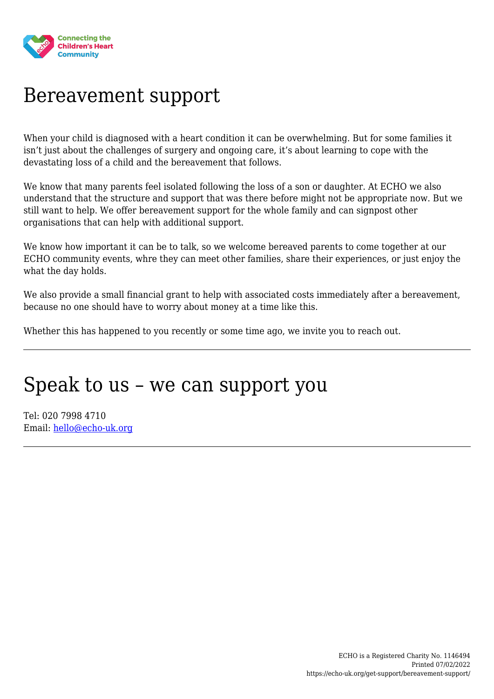

#### Bereavement support

When your child is diagnosed with a heart condition it can be overwhelming. But for some families it isn't just about the challenges of surgery and ongoing care, it's about learning to cope with the devastating loss of a child and the bereavement that follows.

We know that many parents feel isolated following the loss of a son or daughter. At ECHO we also understand that the structure and support that was there before might not be appropriate now. But we still want to help. We offer bereavement support for the whole family and can signpost other organisations that can help with additional support.

We know how important it can be to talk, so we welcome bereaved parents to come together at our ECHO community events, whre they can meet other families, share their experiences, or just enjoy the what the day holds.

We also provide a small financial grant to help with associated costs immediately after a bereavement, because no one should have to worry about money at a time like this.

Whether this has happened to you recently or some time ago, we invite you to reach out.

#### Speak to us – we can support you

Tel: 020 7998 4710 Email: [hello@echo-uk.org](mailto:hello@echo-uk.org)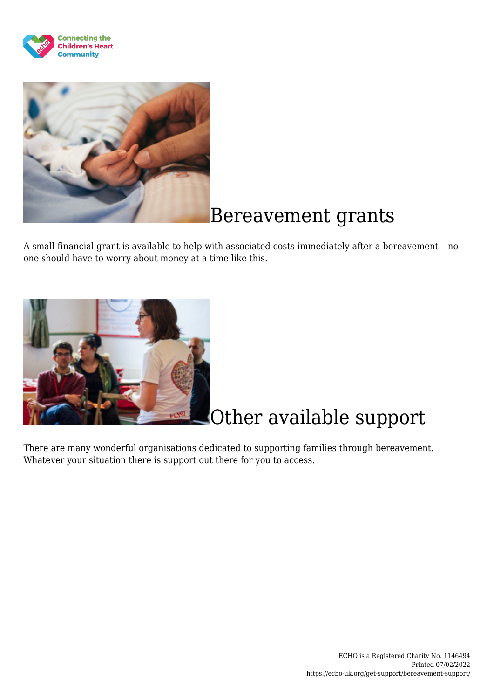



### Bereavement grants

A small financial grant is available to help with associated costs immediately after a bereavement – no one should have to worry about money at a time like this.



# Other available support

There are many wonderful organisations dedicated to supporting families through bereavement. Whatever your situation there is support out there for you to access.